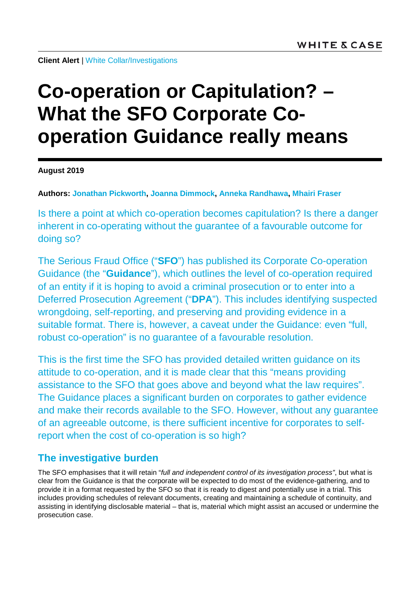**Client Alert** | [White Collar/Investigations](https://www.whitecase.com/law/practices/white-collar-investigations)

# **Co-operation or Capitulation? – What the SFO Corporate Cooperation Guidance really means**

**August 2019**

**Authors: [Jonathan Pickworth,](https://www.whitecase.com/people/jonathan-pickworth) [Joanna Dimmock,](https://www.whitecase.com/people/joanna-dimmock) [Anneka Randhawa,](https://www.whitecase.com/people/anneka-randhawa) [Mhairi Fraser](https://www.whitecase.com/people/mhairi-fraser)**

Is there a point at which co-operation becomes capitulation? Is there a danger inherent in co-operating without the guarantee of a favourable outcome for doing so?

The Serious Fraud Office ("**SFO**") has published its Corporate Co-operation Guidance (the "**Guidance**"), which outlines the level of co-operation required of an entity if it is hoping to avoid a criminal prosecution or to enter into a Deferred Prosecution Agreement ("**DPA**"). This includes identifying suspected wrongdoing, self-reporting, and preserving and providing evidence in a suitable format. There is, however, a caveat under the Guidance: even "full, robust co-operation" is no guarantee of a favourable resolution.

This is the first time the SFO has provided detailed written guidance on its attitude to co-operation, and it is made clear that this "means providing assistance to the SFO that goes above and beyond what the law requires". The Guidance places a significant burden on corporates to gather evidence and make their records available to the SFO. However, without any guarantee of an agreeable outcome, is there sufficient incentive for corporates to selfreport when the cost of co-operation is so high?

# **The investigative burden**

The SFO emphasises that it will retain "*full and independent control of its investigation process"*, but what is clear from the Guidance is that the corporate will be expected to do most of the evidence-gathering, and to provide it in a format requested by the SFO so that it is ready to digest and potentially use in a trial. This includes providing schedules of relevant documents, creating and maintaining a schedule of continuity, and assisting in identifying disclosable material – that is, material which might assist an accused or undermine the prosecution case.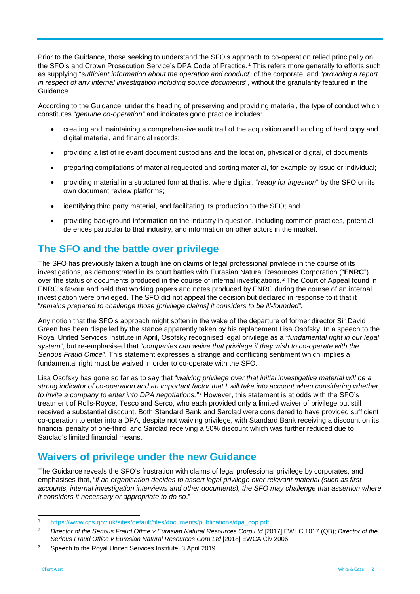Prior to the Guidance, those seeking to understand the SFO's approach to co-operation relied principally on the SFO's and Crown Prosecution Service's DPA Code of Practice.<sup>[1](#page-1-0)</sup> This refers more generally to efforts such as supplying "*sufficient information about the operation and conduct*" of the corporate, and "*providing a report in respect of any internal investigation including source documents*", without the granularity featured in the Guidance.

According to the Guidance, under the heading of preserving and providing material, the type of conduct which constitutes "*genuine co-operation"* and indicates good practice includes:

- creating and maintaining a comprehensive audit trail of the acquisition and handling of hard copy and digital material, and financial records;
- providing a list of relevant document custodians and the location, physical or digital, of documents;
- preparing compilations of material requested and sorting material, for example by issue or individual;
- providing material in a structured format that is, where digital, "*ready for ingestion*" by the SFO on its own document review platforms;
- identifying third party material, and facilitating its production to the SFO; and
- providing background information on the industry in question, including common practices, potential defences particular to that industry, and information on other actors in the market.

### **The SFO and the battle over privilege**

The SFO has previously taken a tough line on claims of legal professional privilege in the course of its investigations, as demonstrated in its court battles with Eurasian Natural Resources Corporation ("**ENRC**") over the status of documents produced in the course of internal investigations.[2](#page-1-1) The Court of Appeal found in ENRC's favour and held that working papers and notes produced by ENRC during the course of an internal investigation were privileged. The SFO did not appeal the decision but declared in response to it that it "*remains prepared to challenge those [privilege claims] it considers to be ill-founded".*

Any notion that the SFO's approach might soften in the wake of the departure of former director Sir David Green has been dispelled by the stance apparently taken by his replacement Lisa Osofsky. In a speech to the Royal United Services Institute in April, Osofsky recognised legal privilege as a "*fundamental right in our legal system*", but re-emphasised that "*companies can waive that privilege if they wish to co-operate with the Serious Fraud Office*". This statement expresses a strange and conflicting sentiment which implies a fundamental right must be waived in order to co-operate with the SFO.

Lisa Osofsky has gone so far as to say that "*waiving privilege over that initial investigative material will be a strong indicator of co-operation and an important factor that I will take into account when considering whether to invite a company to enter into DPA negotiations."*[3](#page-1-2) However, this statement is at odds with the SFO's treatment of Rolls-Royce, Tesco and Serco, who each provided only a limited waiver of privilege but still received a substantial discount. Both Standard Bank and Sarclad were considered to have provided sufficient co-operation to enter into a DPA, despite not waiving privilege, with Standard Bank receiving a discount on its financial penalty of one-third, and Sarclad receiving a 50% discount which was further reduced due to Sarclad's limited financial means.

#### **Waivers of privilege under the new Guidance**

The Guidance reveals the SFO's frustration with claims of legal professional privilege by corporates, and emphasises that, "*if an organisation decides to assert legal privilege over relevant material (such as first accounts, internal investigation interviews and other documents), the SFO may challenge that assertion where it considers it necessary or appropriate to do so*."

<span id="page-1-0"></span> <sup>1</sup> [https://www.cps.gov.uk/sites/default/files/documents/publications/dpa\\_cop.pdf](https://www.cps.gov.uk/sites/default/files/documents/publications/dpa_cop.pdf)

<span id="page-1-1"></span><sup>&</sup>lt;sup>2</sup> Director of the Serious Fraud Office v Eurasian Natural Resources Corp Ltd [2017] EWHC 1017 (QB); Director of the *Serious Fraud Office v Eurasian Natural Resources Corp Ltd* [2018] EWCA Civ 2006

<span id="page-1-2"></span><sup>3</sup> Speech to the Royal United Services Institute, 3 April 2019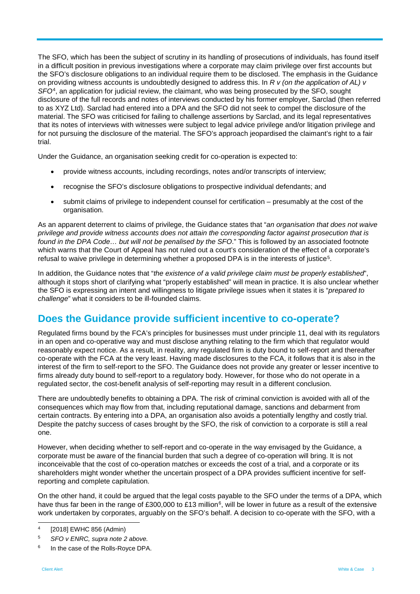The SFO, which has been the subject of scrutiny in its handling of prosecutions of individuals, has found itself in a difficult position in previous investigations where a corporate may claim privilege over first accounts but the SFO's disclosure obligations to an individual require them to be disclosed. The emphasis in the Guidance on providing witness accounts is undoubtedly designed to address this. In *R v (on the application of AL) v SFO*[4,](#page-2-0) an application for judicial review, the claimant, who was being prosecuted by the SFO, sought disclosure of the full records and notes of interviews conducted by his former employer, Sarclad (then referred to as XYZ Ltd). Sarclad had entered into a DPA and the SFO did not seek to compel the disclosure of the material. The SFO was criticised for failing to challenge assertions by Sarclad, and its legal representatives that its notes of interviews with witnesses were subject to legal advice privilege and/or litigation privilege and for not pursuing the disclosure of the material. The SFO's approach jeopardised the claimant's right to a fair trial.

Under the Guidance, an organisation seeking credit for co-operation is expected to:

- provide witness accounts, including recordings, notes and/or transcripts of interview;
- recognise the SFO's disclosure obligations to prospective individual defendants; and
- submit claims of privilege to independent counsel for certification presumably at the cost of the organisation.

As an apparent deterrent to claims of privilege, the Guidance states that "*an organisation that does not waive privilege and provide witness accounts does not attain the corresponding factor against prosecution that is found in the DPA Code… but will not be penalised by the SFO*." This is followed by an associated footnote which warns that the Court of Appeal has not ruled out a court's consideration of the effect of a corporate's refusal to waive privilege in determining whether a proposed DPA is in the interests of justice<sup>5</sup>.

In addition, the Guidance notes that "*the existence of a valid privilege claim must be properly established*", although it stops short of clarifying what "properly established" will mean in practice. It is also unclear whether the SFO is expressing an intent and willingness to litigate privilege issues when it states it is "*prepared to challenge*" what it considers to be ill-founded claims.

## **Does the Guidance provide sufficient incentive to co-operate?**

Regulated firms bound by the FCA's principles for businesses must under principle 11, deal with its regulators in an open and co-operative way and must disclose anything relating to the firm which that regulator would reasonably expect notice. As a result, in reality, any regulated firm is duty bound to self-report and thereafter co-operate with the FCA at the very least. Having made disclosures to the FCA, it follows that it is also in the interest of the firm to self-report to the SFO. The Guidance does not provide any greater or lesser incentive to firms already duty bound to self-report to a regulatory body. However, for those who do not operate in a regulated sector, the cost-benefit analysis of self-reporting may result in a different conclusion.

There are undoubtedly benefits to obtaining a DPA. The risk of criminal conviction is avoided with all of the consequences which may flow from that, including reputational damage, sanctions and debarment from certain contracts. By entering into a DPA, an organisation also avoids a potentially lengthy and costly trial. Despite the patchy success of cases brought by the SFO, the risk of conviction to a corporate is still a real one.

However, when deciding whether to self-report and co-operate in the way envisaged by the Guidance, a corporate must be aware of the financial burden that such a degree of co-operation will bring. It is not inconceivable that the cost of co-operation matches or exceeds the cost of a trial, and a corporate or its shareholders might wonder whether the uncertain prospect of a DPA provides sufficient incentive for selfreporting and complete capitulation.

On the other hand, it could be argued that the legal costs payable to the SFO under the terms of a DPA, which have thus far been in the range of £300,000 to £13 million<sup>6</sup>, will be lower in future as a result of the extensive work undertaken by corporates, arguably on the SFO's behalf. A decision to co-operate with the SFO, with a

<span id="page-2-0"></span> <sup>4</sup> [2018] EWHC 856 (Admin)

<span id="page-2-1"></span><sup>5</sup> *SFO v ENRC, supra note 2 above.*

<span id="page-2-2"></span><sup>&</sup>lt;sup>6</sup> In the case of the Rolls-Royce DPA.